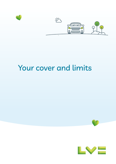

# Your cover and limits



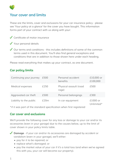

# Your cover and limits

These are the limits, cover and exclusions for your car insurance policy - please see 'Your policy at a glance' for the cover you have bought. This information forms part of your contract with us along with your:

- Certificate of motor insurance
- Your personal details

 Our terms and conditions - this includes definitions of some of the common terms used in this document. You'll also find general exceptions and conditions that are in addition to those shown here under each heading.

Please read everything that makes up your contract, as one document.

# **Car policy limits**

| Continuing your journey | £500 | Personal accident<br>benefits   | £10,000 or<br>£100,000 |
|-------------------------|------|---------------------------------|------------------------|
| Medical expenses        | £250 | Physical assault (road<br>rage) | £500                   |
| Aggravated car theft    | £500 | Personal belongings             | £300                   |
| Liability to the public | £20m | In car equipment                | £1000 or<br>Unlimited* |

\*if it was part of the standard specification when first registered

# **Car cover and exclusions**

We'll provide the following cover for any loss or damage to your car and/or its accessories (even in your garage) due to the causes below, up to the limit of cover shown in your policy limits table.

**Damage** - if your car and/or its accessories are damaged by accident or vandalism (even in your garage), we'll either:

- pay for it to be repaired; or
- replace what's damaged; or
- pay the market value of your car if it's a total loss (and when we've agreed this with you, your car will become our property).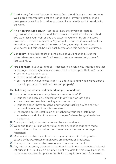**Used wrong fuel** - we'll pay to drain and flush it and fix any engine damage. We'll agree with you how best to arrange repair - if you've already made arrangements we'll only consider payment if you provide us with receipts for the work.

Hit by an uninsured driver - just let us know the driver/rider details, registration number, make, model and colour of the other vehicle involved. You won't lose your NCD or pay any excess if you're hit by an uninsured driver/rider when the accident isn't your fault - however, if we can't confirm immediately the uninsured driver was at fault, you might have to pay your excess but this will be paid back to you once this has been confirmed.

**Vandalism** - first of all report it to the police as you'll need to give us the crime reference number. You'll still need to pay your excess but you won't lose your NCD.

**Fire and theft**- if your car and/or its accessories (even in your garage) are lost or damaged by fire, lightning, explosion, theft or attempted theft, we'll either:

- pay for it to be repaired; or
- replace what's damaged; or
- pay the market value of your car if it's a total loss (and when we've agreed this with you, your car will become our property)

## **The following are not covered under damage, fire and theft**

 $\times$  Loss or damage to your car by theft or attempted theft if:

- your car has been left unlocked or with a window or roof open
- the engine has been left running when unattended
- your car doesn't have an active and working tracking device and your personal details confirms this is required
- the ignition device is left in, on or attached to your car or left in the immediate proximity of the car or in range of where the ignition device is effective.
- $\times$  Damage to the ignition device caused by wear and tear.
- $\times$  Wear and tear, your car losing value, or for any repairs that have made the condition of the car better than it was before the loss or damage happened.
- $\times$  Mechanical, electrical, electronic or computer failures (including failure caused by hacks, viruses or malware), breakdowns or breakages.
- X Damage to tyres caused by braking, punctures, cuts or bursts.
- $\times$  Any part or accessory at a cost higher than listed in the manufacturer's latest list price in the UK. If such a list price is not available the most we'll pay is the manufacturers latest list price in the UK for an equivalent part of accessory.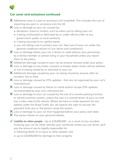

# **Car cover and exclusions continued**

 $\times$  Additional costs if a part or accessory isn't available. This includes the cost of importing any part or accessory into the UK.

- X Loss or damage to your car caused by;
	- deception, fraud or trickery, such as when you're selling your car
	- it being confiscated or destroyed by or under official order of any government, public or local authority
	- it being returned to its rightful owner
	- you not taking care to protect your car. (See care of your car under the general conditions section of 'our terms and conditions').
- $\boldsymbol{\times}$  Loss or damage where your car is driven or used without your permission by a family member or person living in your household unless you report them to the police.
- X Deliberate damage caused to your car by anyone insured under your policy.
- $\mathsf{\times}$  Loss or damage to any trailer, caravan or broken down motor vehicle whether or not it's being towed by or attached to your car.
- $\times$  Additional damage caused by your car being moved by anyone after an accident, fire or theft.
- $\boldsymbol{\times}$  Loss or damage caused by OTA updates that are not approved by your car's manufacturer.
- X Loss or damage caused by failure to install and/or accept OTA updates recommended by your car's manufacturer.
- $\mathsf{\times}$  Loss or damage to your car caused by the use of a remote parking function or vehicle summon system, unless the user is a named driver of your car and has a clear view of the vehicle. Where we have to make payment for any liability under the Road Traffic Act, we reserve the right to recover the payment from you or the person using the system.
- X Loss or damage to your car that happened before your policy start date.
- X The excess shown on your personal details.
- ◆ **Liability to other people** Up to £20,000,000 as a result of any accident involving your car (or other vehicles your certificate shows you can drive), we'll pay the amount you're legally responsible for:
	- following death of or injury to other people, and
	- up to £20,000,000 for damage to their property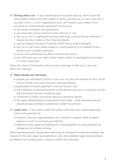**Driving other cars** - if your certificate of insurance says so, we'll insure the policyholder and/or the NCD holder to drive a private car or van in the UK, if you don't own it, it isn't registered to you, isn't hired to you under a hire purchase or rental/leasing agreement as long as:

- the owner has given you permission
- you have the correct licence to drive the car or van
- the car or van is registered and normally kept in Great Britain, Northern Island, the Isle of Man or the Channe lslands
- any van doesn't exceed 3.5 tonnes GVW (Gross Vehicle Weight)
- the car or van hasn't been seized or confiscated by or on behalf of any government or public authority
- you're not covered by any other insurance to drive it
- you still have your car and it hasn't been stolen or damaged to an extent it's now a total loss.

Note: the cover is third party only so loss or damage to the car or van you drive isn't covered

# **Other people we will insure**

- people you will allow to drive or use your car and are named on your certifi cate of motor insurance and your personal details;
- passengers (includes getting in and out of your car)
- the employer or business partner of the person driving or using your car for their business and are named on your
- certificate of motor insurance and your personal details
- the legal representative of someone that's died if the deceased person would've been entitled to protection under this section.

**Legal costs** - if you claim under this policy, we'll pay your reasonable legal costs and expenses for:

- solicitor's fees for representation at a coroner's inquest, fatal accident inquiry or court of summary jurisdiction
- defence of any legal proceedings for manslaughter or causing death by dangerous or reckless driving

When deciding what's reasonable we'll look at the level of expertise needed, the nature of the case, legal representative costs and whether legal representation for defence of a prosecution is likely to affect the outcome.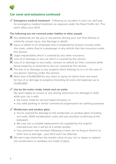

# **Car cover and exclusions continued**

**Emergency medical treatment** - Following an accident in your car, we'll pay for emergency medical treatment as required under the Road Traffic Act. This won't affect your NCD.

#### **The following are not covered under liability to other people**

- $\times$  Any deliberate act (by you or any person driving your car) that directly or indirectly causes injury, loss damage or death.
- $\boldsymbol{\times}$  Injury or death to an employee who is employed by anyone insured under this cover, unless they're a passenger in any vehicle that has insurance under this section.
- $\mathsf{\times}$  Legal responsibility which is covered by any other insurance.
- X Loss of or damage to any car which is covered by this section.
- $\times$  Loss of or damage to any trailer, caravan or vehicle (or their contents) while being towed by or attached to any car covered by this section.
- $\boldsymbol{\times}$  The loss of or damage to any property which belongs to or is in the care of any person claiming under this section.
- $\times$  More than £20,000,000 for any claim or series of claims from one event for loss of or damage to property (including all costs and expenses up to £5,000,000).

#### **Use by the motor trade, hotels and car parks**

We won't apply an excess or any driving restrictions for damage or theft, while your car is with:

- the motor trade for service/repair/recovery; or
- any valet parking or similar commercial organisation for parking purposes.

#### **Windscreen and window glass**

- You're covered for damage to the windscreen or window glass including sun-roofs. ADAS recalibration costs and any resultant scratching of the bodywork.
- We may use a suitable replacement not supplied by the original manufacturer but it will be of a similar quality.
- Your premium may increase following a claim, but as long as there's no other loss or damage - your NCD won't be affected.

 $\times$  We won't pay more than the market value of your car or repair or replace any windscreens or windows not made of glass.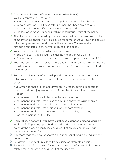# **Guaranteed hire car - (if shown on your policy details)**

We'll guarantee a hire car when:

- your car is with our recommended repairer service until it's fixed; or
- up to 21 days or until 4 days after payment has been given to you, whichever is soonest (if your car is a total loss), and
- the loss or damage happened within the territorial limits of the policy
- The hire car will be provided by our recommended repairer service or a hire company of our choice. You'll be insured for comprehensive cover and all your other policy terms and conditions will be the same. The use of the hire car is restricted to the territorial limits of the policy.

## Your personal details show which level you have:

- Basic hire car this is usually a small hatchback under 1.2 litre
- Similar size hire car a car similar size to yours, up to a maximum of 2.0
- You must pay for any fuel used or tolls and fines and you must return the hire car when asked to. If your insurance expires, you're no longer insured to drive the hire car.
- **Personal accident benefits** We'll pay the amount shown on the 'policy limits' table, your policy documents will confirm the amount of cover you have chosen.

if you, your partner or a named driver are injured in, getting in or out of your car and the injury alone within 12 months of the accident, causes:

- death
- permanent loss of any limb above the wrist or ankle
- permanent and total loss of use of any limb above the wrist or ankle
- permanent and total loss of hearing in one or both ears
- permanent and total loss of sight in one or both eyes; or
- permanent total disablement, resulting in an inability to do any sort of work for the remainder of their life.
- **Hospital cash benefit (if you have purchased extended personal accident**) we'll pay £150 per day up to 14 days, if the driver who is named on the policy at the time, is hospitalised as a result of an accident in your car that you're claiming for.
- $\times$  Any more than the amount shown on your personal details during any one period of cover.
- $\mathsf{\times}$  For any injury or death resulting from suicide or attempted suicide.
- $\times$  For any injuries if the driver of your car is convicted of an alcohol or drugs related motoring offence as a result of the accident.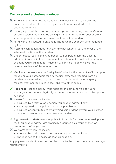

# **Car cover and exclusions continued**

- $\mathsf{\times}$  For any injuries and hospitalisation if the driver is found to be over the prescribed limit for alcohol or drugs either through road side test or evidentiary sample.
- $\blacktriangleright$  For any injuries if the driver of your car is proven, following a coroner's inquest or fatal accident inquiry, to be driving whilst unfit through alcohol or drugs, whether prescribed or otherwise at the time of the accident.
- $\bm{\times}$  For any injuries caused to anyone failing to wear a seat belt when required by law.
- $\times$  Hospital cash benefit does not cover any passengers, just the driver of the vehicle at the time of the accident.
- $\times$  Under hospital cash benefit, no benefit will be paid unless the driver is admitted into hospital as an in-patient or out-patient as a direct result of an accident you're claiming for. Payment will only be made once we have received evidence of this admittance.
- **Medical expenses** see the 'policy limits' table for the amount we'll pay up to, for you or your passengers for any medical expenses resulting from an accident while travelling in your car. You'll get this and the emergency medical treatment fee (please see liability to other people.
- **Road rage**  see the 'policy limits' table for the amount we'll pay up to, if you or your partner are physically assaulted as a result of your car being in an accident.
- $\times$  We won't pay when the incident:
	- is caused by a relative or a person you or your partner know
	- is not reported to the police as soon as possible; or
	- is caused or contributed to by anything said or done by you, your partner, or by a passenger in your car after the accident.
- **Aggravated car theft** see the 'policy limits' table for the amount we'll pay up to, if you or your partner are physically assaulted as a result of theft or attempted theft of your car.
- $\times$  We won't pay when the incident:
	- is caused by a relative or a person you or your partner know
	- isn't reported to the police as soon as possible.

Any payments under this section can be made to the injured person or their legal representative.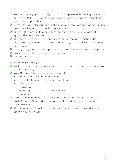- **Personal belongings** we'll pay up to £300 for personal belongings in your car or up to £1,000 in your motorhome, if lost or damaged due to accident, fire, theft or attempted theft.
- $\boldsymbol{\times}$  Items left in an unlocked car or if the window or roof was open or the ignition device was left in, on or attached to your car.
- $\times$  or left in the immediate proximity of the car or in the range of where the ignition device is effective.
- $\times$  The theft of personal belongings unless they're kept out of sight in the glove box or the locked boot of your car. Money, stamps, tickets, documents or securities.
- X Goods, tools, samples or equipment for a trade or business. In-car equipment.
- X Property covered under any other insurance.
- $X$  Car accessories.

# **No claim discount (NCD)**

- We'll give you a discount in line with our NCD scale which is current when you started the policy.
- Your NCD won't be affected if we only pay for:
	- emergency medical treatment charges
	- damage to the windscreen or window glass
	- a claim under:
		- breakdown
		- motor legal expenses uninsured driver
		- vandalism.
- If you have more than one car insured, each car can earn NCD in the NCD holder's name. Named drivers who are not the NCD holder can't earn their own NCD.
- $\times$  The discount won't apply to our administration costs or to any additional options you've chosen.